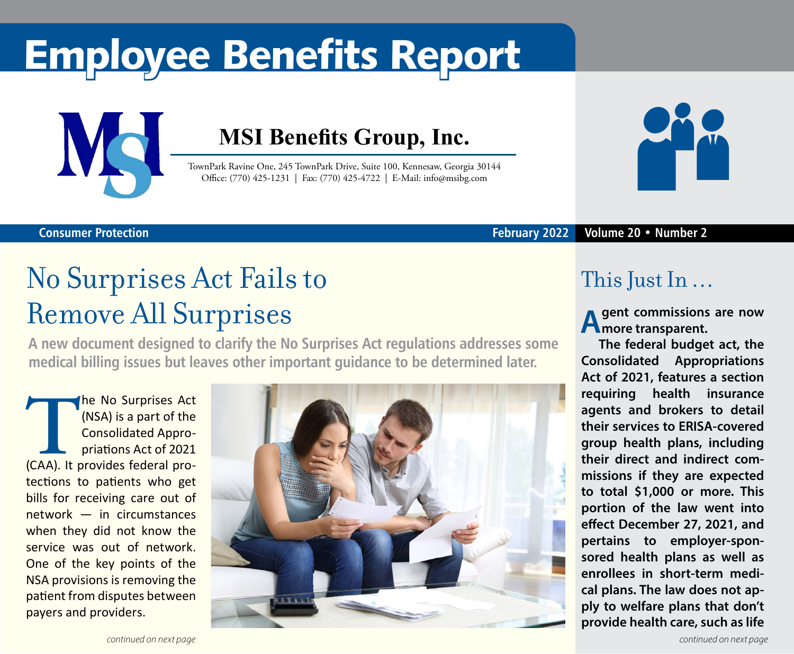## Employee Benefits Report



**Consumer Protection**

### **MSI Benefits Group, Inc.**

TownPark Ravine One, 245 TownPark Drive, Suite 100, Kennesaw, Georgia 30144 Office: (770) 425-1231 | Fax: (770) 425-4722 | E-Mail: info@msibg.com



#### **February 2022 Volume 20 • Number 2**

# No Surprises Act Fails to

## Remove All Surprises

**A new document designed to clarify the No Surprises Act regulations addresses some medical billing issues but leaves other important guidance to be determined later.**

**THE NO Surprises Act (NSA) is a part of the Consolidated Appropriations Act of 2021 (CAA). It provides federal pro-**(NSA) is a part of the Consolidated Appropriations Act of 2021 tections to patients who get bills for receiving care out of network — in circumstances when they did not know the service was out of network. One of the key points of the NSA provisions is removing the patient from disputes between payers and providers.



### This Just In …

**A gent commissions are now H** more transparent.

**The federal budget act, the Consolidated Appropriations Act of 2021, features a section requiring health insurance agents and brokers to detail their services to ERISA-covered group health plans, including their direct and indirect commissions if they are expected to total \$1,000 or more. This portion of the law went into effect December 27, 2021, and pertains to employer-sponsored health plans as well as enrollees in short-term medical plans. The law does not apply to welfare plans that don't provide health care, such as life**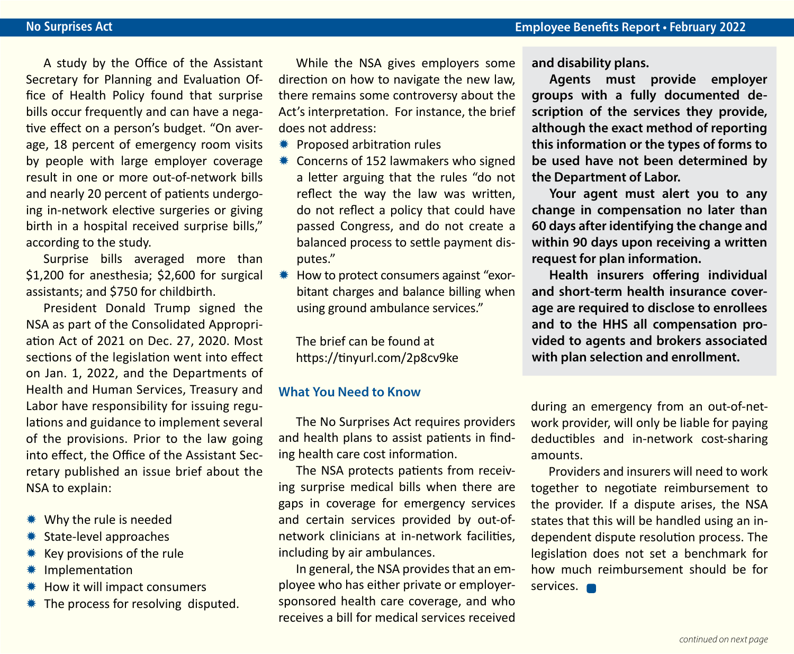A study by the Office of the Assistant Secretary for Planning and Evaluation Office of Health Policy found that surprise bills occur frequently and can have a negative effect on a person's budget. "On average, 18 percent of emergency room visits by people with large employer coverage result in one or more out-of-network bills and nearly 20 percent of patients undergoing in-network elective surgeries or giving birth in a hospital received surprise bills," according to the study.

Surprise bills averaged more than \$1,200 for anesthesia; \$2,600 for surgical assistants; and \$750 for childbirth.

President Donald Trump signed the NSA as part of the Consolidated Appropriation Act of 2021 on Dec. 27, 2020. Most sections of the legislation went into effect on Jan. 1, 2022, and the Departments of Health and Human Services, Treasury and Labor have responsibility for issuing regulations and guidance to implement several of the provisions. Prior to the law going into effect, the Office of the Assistant Secretary published an issue brief about the NSA to explain:

- \* Why the rule is needed
- State-level approaches
- Key provisions of the rule
- Implementation
- How it will impact consumers
- $*$  The process for resolving disputed.

While the NSA gives employers some direction on how to navigate the new law, there remains some controversy about the Act's interpretation. For instance, the brief does not address:

- **\*\*** Proposed arbitration rules
- **\*\*** Concerns of 152 lawmakers who signed a letter arguing that the rules "do not reflect the way the law was written, do not reflect a policy that could have passed Congress, and do not create a balanced process to settle payment disputes."
- $*$  How to protect consumers against "exorbitant charges and balance billing when using ground ambulance services."

The brief can be found at https://tinyurl.com/2p8cv9ke

#### **What You Need to Know**

The No Surprises Act requires providers and health plans to assist patients in finding health care cost information.

The NSA protects patients from receiving surprise medical bills when there are gaps in coverage for emergency services and certain services provided by out-ofnetwork clinicians at in-network facilities, including by air ambulances.

In general, the NSA provides that an employee who has either private or employersponsored health care coverage, and who receives a bill for medical services received **and disability plans.**

**Agents must provide employer groups with a fully documented description of the services they provide, although the exact method of reporting this information or the types of forms to be used have not been determined by the Department of Labor.**

**Your agent must alert you to any change in compensation no later than 60 days after identifying the change and within 90 days upon receiving a written request for plan information.**

**Health insurers offering individual and short-term health insurance coverage are required to disclose to enrollees and to the HHS all compensation provided to agents and brokers associated with plan selection and enrollment.**

during an emergency from an out-of-network provider, will only be liable for paying deductibles and in-network cost-sharing amounts.

Providers and insurers will need to work together to negotiate reimbursement to the provider. If a dispute arises, the NSA states that this will be handled using an independent dispute resolution process. The legislation does not set a benchmark for how much reimbursement should be for services. **On**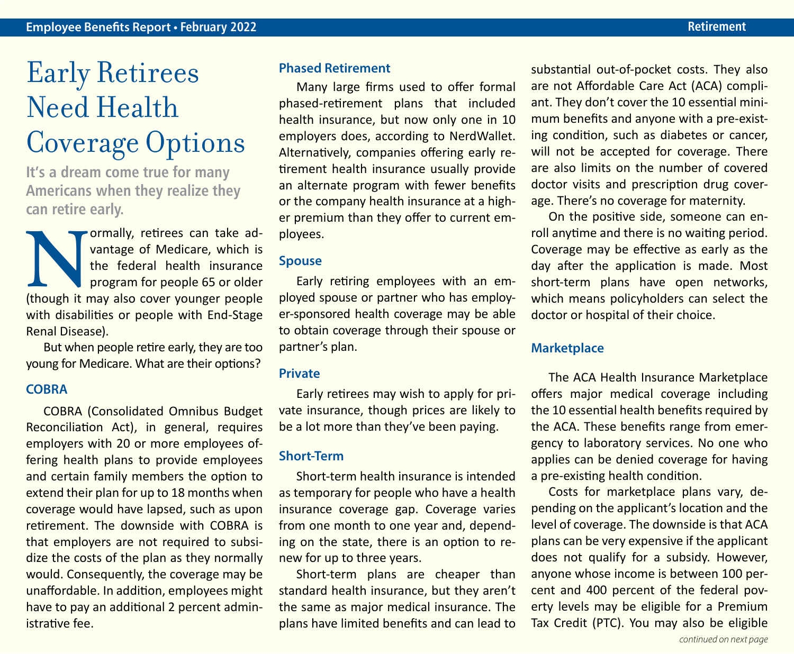### Early Retirees Need Health Coverage Options

**It's a dream come true for many Americans when they realize they can retire early.**

**Normally, retirees can take ad-**<br>vantage of Medicare, which is<br>the federal health insurance<br>program for people 65 or older<br>(though it may also cover younger people vantage of Medicare, which is the federal health insurance program for people 65 or older with disabilities or people with End-Stage Renal Disease).

But when people retire early, they are too young for Medicare. What are their options?

#### **COBRA**

COBRA (Consolidated Omnibus Budget Reconciliation Act), in general, requires employers with 20 or more employees offering health plans to provide employees and certain family members the option to extend their plan for up to 18 months when coverage would have lapsed, such as upon retirement. The downside with COBRA is that employers are not required to subsidize the costs of the plan as they normally would. Consequently, the coverage may be unaffordable. In addition, employees might have to pay an additional 2 percent administrative fee.

#### **Phased Retirement**

Many large firms used to offer formal phased-retirement plans that included health insurance, but now only one in 10 employers does, according to NerdWallet. Alternatively, companies offering early retirement health insurance usually provide an alternate program with fewer benefits or the company health insurance at a higher premium than they offer to current employees.

#### **Spouse**

Early retiring employees with an employed spouse or partner who has employer-sponsored health coverage may be able to obtain coverage through their spouse or partner's plan.

#### **Private**

Early retirees may wish to apply for private insurance, though prices are likely to be a lot more than they've been paying.

#### **Short-Term**

Short-term health insurance is intended as temporary for people who have a health insurance coverage gap. Coverage varies from one month to one year and, depending on the state, there is an option to renew for up to three years.

Short-term plans are cheaper than standard health insurance, but they aren't the same as major medical insurance. The plans have limited benefits and can lead to

substantial out-of-pocket costs. They also are not Affordable Care Act (ACA) compliant. They don't cover the 10 essential minimum benefits and anyone with a pre-existing condition, such as diabetes or cancer, will not be accepted for coverage. There are also limits on the number of covered doctor visits and prescription drug coverage. There's no coverage for maternity.

On the positive side, someone can enroll anytime and there is no waiting period. Coverage may be effective as early as the day after the application is made. Most short-term plans have open networks, which means policyholders can select the doctor or hospital of their choice.

#### **Marketplace**

The ACA Health Insurance Marketplace offers major medical coverage including the 10 essential health benefits required by the ACA. These benefits range from emergency to laboratory services. No one who applies can be denied coverage for having a pre-existing health condition.

Costs for marketplace plans vary, depending on the applicant's location and the level of coverage. The downside is that ACA plans can be very expensive if the applicant does not qualify for a subsidy. However, anyone whose income is between 100 percent and 400 percent of the federal poverty levels may be eligible for a Premium Tax Credit (PTC). You may also be eligible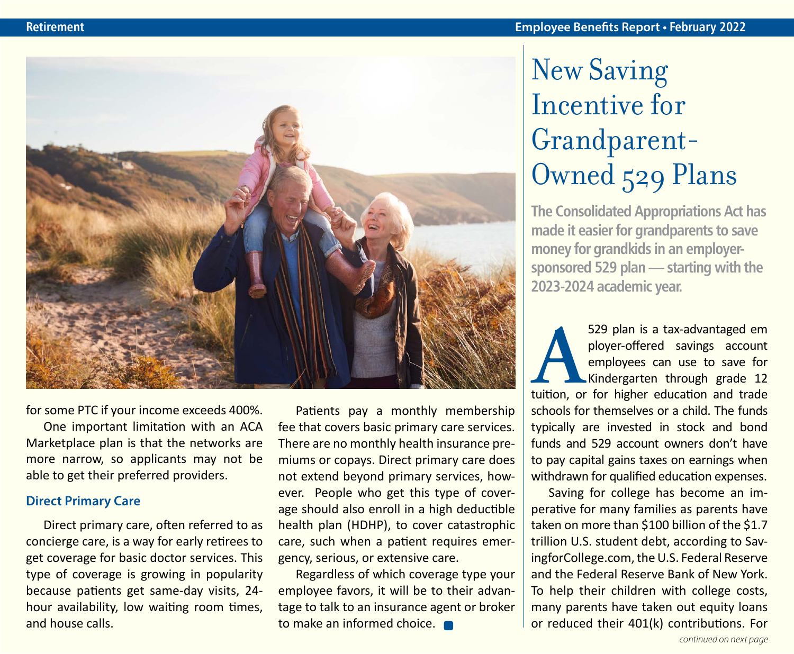

for some PTC if your income exceeds 400%.

One important limitation with an ACA Marketplace plan is that the networks are more narrow, so applicants may not be able to get their preferred providers.

#### **Direct Primary Care**

Direct primary care, often referred to as concierge care, is a way for early retirees to get coverage for basic doctor services. This type of coverage is growing in popularity because patients get same-day visits, 24 hour availability, low waiting room times, and house calls.

Patients pay a monthly membership fee that covers basic primary care services. There are no monthly health insurance premiums or copays. Direct primary care does not extend beyond primary services, however. People who get this type of coverage should also enroll in a high deductible health plan (HDHP), to cover catastrophic care, such when a patient requires emergency, serious, or extensive care.

Regardless of which coverage type your employee favors, it will be to their advantage to talk to an insurance agent or broker to make an informed choice.

## New Saving Incentive for Grandparent-Owned 529 Plans

**The Consolidated Appropriations Act has made it easier for grandparents to save money for grandkids in an employersponsored 529 plan — starting with the 2023-2024 academic year.**

529 plan is a tax-advantaged em<br>
ployer-offered savings account<br>
employees can use to save for<br>
Kindergarten through grade 12<br>
tuition, or for higher education and trade ployer-offered savings account employees can use to save for Kindergarten through grade 12 schools for themselves or a child. The funds typically are invested in stock and bond funds and 529 account owners don't have to pay capital gains taxes on earnings when withdrawn for qualified education expenses.

Saving for college has become an imperative for many families as parents have taken on more than \$100 billion of the \$1.7 trillion U.S. student debt, according to SavingforCollege.com, the U.S. Federal Reserve and the Federal Reserve Bank of New York. To help their children with college costs, many parents have taken out equity loans or reduced their 401(k) contributions. For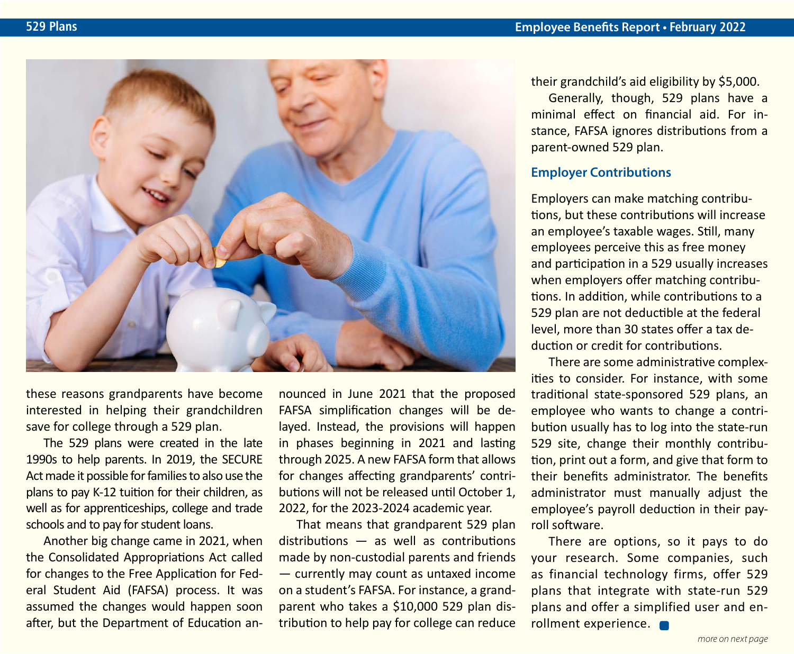

these reasons grandparents have become interested in helping their grandchildren save for college through a 529 plan.

The 529 plans were created in the late 1990s to help parents. In 2019, the SECURE Act made it possible for families to also use the plans to pay K-12 tuition for their children, as well as for apprenticeships, college and trade schools and to pay for student loans.

Another big change came in 2021, when the Consolidated Appropriations Act called for changes to the Free Application for Federal Student Aid (FAFSA) process. It was assumed the changes would happen soon after, but the Department of Education announced in June 2021 that the proposed FAFSA simplification changes will be delayed. Instead, the provisions will happen in phases beginning in 2021 and lasting through 2025. A new FAFSA form that allows for changes affecting grandparents' contributions will not be released until October 1, 2022, for the 2023-2024 academic year.

That means that grandparent 529 plan distributions — as well as contributions made by non-custodial parents and friends — currently may count as untaxed income on a student's FAFSA. For instance, a grandparent who takes a \$10,000 529 plan distribution to help pay for college can reduce

their grandchild's aid eligibility by \$5,000.

Generally, though, 529 plans have a minimal effect on financial aid. For instance, FAFSA ignores distributions from a parent-owned 529 plan.

#### **Employer Contributions**

Employers can make matching contributions, but these contributions will increase an employee's taxable wages. Still, many employees perceive this as free money and participation in a 529 usually increases when employers offer matching contributions. In addition, while contributions to a 529 plan are not deductible at the federal level, more than 30 states offer a tax deduction or credit for contributions.

There are some administrative complexities to consider. For instance, with some traditional state-sponsored 529 plans, an employee who wants to change a contribution usually has to log into the state-run 529 site, change their monthly contribution, print out a form, and give that form to their benefits administrator. The benefits administrator must manually adjust the employee's payroll deduction in their payroll software.

There are options, so it pays to do your research. Some companies, such as financial technology firms, offer 529 plans that integrate with state-run 529 plans and offer a simplified user and enrollment experience.